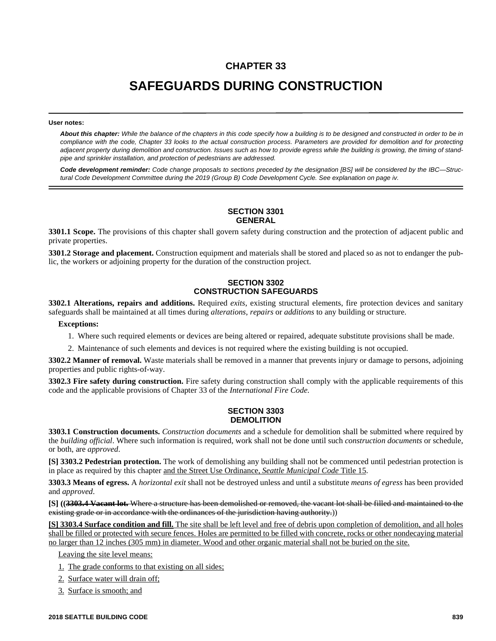# **CHAPTER 33**

# **SAFEGUARDS DURING CONSTRUCTION**

#### **User notes:**

*About this chapter: While the balance of the chapters in this code specify how a building is to be designed and constructed in order to be in compliance with the code, Chapter 33 looks to the actual construction process. Parameters are provided for demolition and for protecting adjacent property during demolition and construction. Issues such as how to provide egress while the building is growing, the timing of standpipe and sprinkler installation, and protection of pedestrians are addressed.* 

*Code development reminder: Code change proposals to sections preceded by the designation [BS] will be considered by the IBC—Structural Code Development Committee during the 2019 (Group B) Code Development Cycle. See explanation on page iv.*

## **SECTION 3301 GENERAL**

**3301.1 Scope.** The provisions of this chapter shall govern safety during construction and the protection of adjacent public and private properties.

**3301.2 Storage and placement.** Construction equipment and materials shall be stored and placed so as not to endanger the public, the workers or adjoining property for the duration of the construction project.

# **SECTION 3302 CONSTRUCTION SAFEGUARDS**

**3302.1 Alterations, repairs and additions.** Required *exits*, existing structural elements, fire protection devices and sanitary safeguards shall be maintained at all times during *alterations*, *repairs* or *additions* to any building or structure.

#### **Exceptions:**

- 1. Where such required elements or devices are being altered or repaired, adequate substitute provisions shall be made.
- 2. Maintenance of such elements and devices is not required where the existing building is not occupied.

**3302.2 Manner of removal.** Waste materials shall be removed in a manner that prevents injury or damage to persons, adjoining properties and public rights-of-way.

**3302.3 Fire safety during construction.** Fire safety during construction shall comply with the applicable requirements of this code and the applicable provisions of Chapter 33 of the *International Fire Code.*

## **SECTION 3303 DEMOLITION**

**3303.1 Construction documents.** *Construction documents* and a schedule for demolition shall be submitted where required by the *building official*. Where such information is required, work shall not be done until such *construction documents* or schedule, or both, are *approved*.

**[S] 3303.2 Pedestrian protection.** The work of demolishing any building shall not be commenced until pedestrian protection is in place as required by this chapter and the Street Use Ordinance, *Seattle Municipal Code* Title 15.

**3303.3 Means of egress.** A *horizontal exit* shall not be destroyed unless and until a substitute *means of egress* has been provided and *approved*.

**[S] ((3303.4 Vacant lot.** Where a structure has been demolished or removed, the vacant lot shall be filled and maintained to the existing grade or in accordance with the ordinances of the jurisdiction having authority.)

**[S] 3303.4 Surface condition and fill.** The site shall be left level and free of debris upon completion of demolition, and all holes shall be filled or protected with secure fences. Holes are permitted to be filled with concrete, rocks or other nondecaying material no larger than 12 inches (305 mm) in diameter. Wood and other organic material shall not be buried on the site.

Leaving the site level means:

- 1. The grade conforms to that existing on all sides;
- 2. Surface water will drain off;
- 3. Surface is smooth; and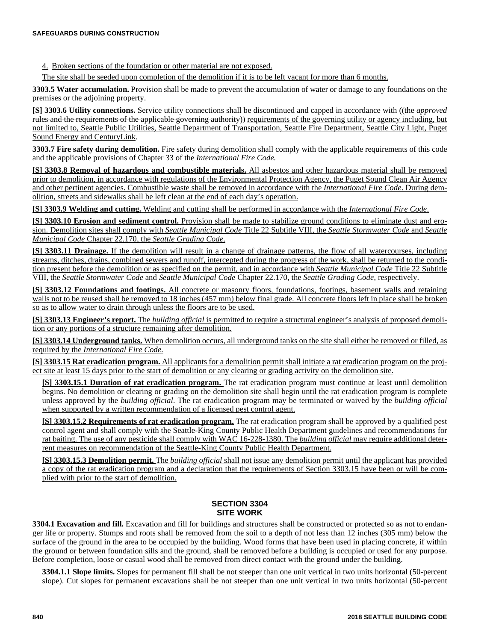4. Broken sections of the foundation or other material are not exposed.

The site shall be seeded upon completion of the demolition if it is to be left vacant for more than 6 months.

**3303.5 Water accumulation.** Provision shall be made to prevent the accumulation of water or damage to any foundations on the premises or the adjoining property.

**[S] 3303.6 Utility connections.** Service utility connections shall be discontinued and capped in accordance with ((the *approved* rules and the requirements of the applicable governing authority) requirements of the governing utility or agency including, but not limited to, Seattle Public Utilities, Seattle Department of Transportation, Seattle Fire Department, Seattle City Light, Puget Sound Energy and CenturyLink.

**3303.7 Fire safety during demolition.** Fire safety during demolition shall comply with the applicable requirements of this code and the applicable provisions of Chapter 33 of the *International Fire Code.*

**[S] 3303.8 Removal of hazardous and combustible materials.** All asbestos and other hazardous material shall be removed prior to demolition, in accordance with regulations of the Environmental Protection Agency, the Puget Sound Clean Air Agency and other pertinent agencies. Combustible waste shall be removed in accordance with the *International Fire Code*. During demolition, streets and sidewalks shall be left clean at the end of each day's operation.

**[S] 3303.9 Welding and cutting.** Welding and cutting shall be performed in accordance with the *International Fire Code*.

**[S] 3303.10 Erosion and sediment control.** Provision shall be made to stabilize ground conditions to eliminate dust and erosion. Demolition sites shall comply with *Seattle Municipal Code* Title 22 Subtitle VIII, the *Seattle Stormwater Code* and *Seattle Municipal Code* Chapter 22.170, the *Seattle Grading Code*.

**[S] 3303.11 Drainage.** If the demolition will result in a change of drainage patterns, the flow of all watercourses, including streams, ditches, drains, combined sewers and runoff, intercepted during the progress of the work, shall be returned to the condition present before the demolition or as specified on the permit, and in accordance with *Seattle Municipal Code* Title 22 Subtitle VIII, the *Seattle Stormwater Code* and *Seattle Municipal Code* Chapter 22.170, the *Seattle Grading Code*, respectively.

**[S] 3303.12 Foundations and footings.** All concrete or masonry floors, foundations, footings, basement walls and retaining walls not to be reused shall be removed to 18 inches (457 mm) below final grade. All concrete floors left in place shall be broken so as to allow water to drain through unless the floors are to be used.

**[S] 3303.13 Engineer's report.** The *building official* is permitted to require a structural engineer's analysis of proposed demolition or any portions of a structure remaining after demolition.

**[S] 3303.14 Underground tanks.** When demolition occurs, all underground tanks on the site shall either be removed or filled, as required by the *International Fire Code*.

**[S] 3303.15 Rat eradication program.** All applicants for a demolition permit shall initiate a rat eradication program on the project site at least 15 days prior to the start of demolition or any clearing or grading activity on the demolition site.

**[S] 3303.15.1 Duration of rat eradication program.** The rat eradication program must continue at least until demolition begins. No demolition or clearing or grading on the demolition site shall begin until the rat eradication program is complete unless approved by the *building official*. The rat eradication program may be terminated or waived by the *building official* when supported by a written recommendation of a licensed pest control agent.

**[S] 3303.15.2 Requirements of rat eradication program.** The rat eradication program shall be approved by a qualified pest control agent and shall comply with the Seattle-King County Public Health Department guidelines and recommendations for rat baiting. The use of any pesticide shall comply with WAC 16-228-1380. The *building official* may require additional deterrent measures on recommendation of the Seattle-King County Public Health Department.

**[S] 3303.15.3 Demolition permit.** The *building official* shall not issue any demolition permit until the applicant has provided a copy of the rat eradication program and a declaration that the requirements of Section 3303.15 have been or will be complied with prior to the start of demolition.

# **SECTION 3304 SITE WORK**

**3304.1 Excavation and fill.** Excavation and fill for buildings and structures shall be constructed or protected so as not to endanger life or property. Stumps and roots shall be removed from the soil to a depth of not less than 12 inches (305 mm) below the surface of the ground in the area to be occupied by the building. Wood forms that have been used in placing concrete, if within the ground or between foundation sills and the ground, shall be removed before a building is occupied or used for any purpose. Before completion, loose or casual wood shall be removed from direct contact with the ground under the building.

**3304.1.1 Slope limits.** Slopes for permanent fill shall be not steeper than one unit vertical in two units horizontal (50-percent slope). Cut slopes for permanent excavations shall be not steeper than one unit vertical in two units horizontal (50-percent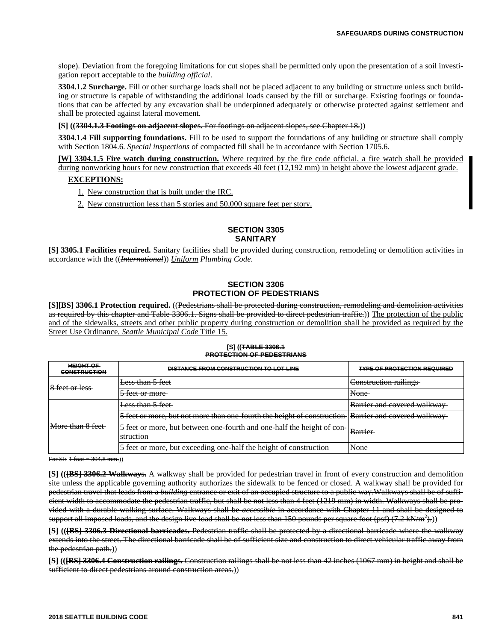slope). Deviation from the foregoing limitations for cut slopes shall be permitted only upon the presentation of a soil investigation report acceptable to the *building official*.

**3304.1.2 Surcharge.** Fill or other surcharge loads shall not be placed adjacent to any building or structure unless such building or structure is capable of withstanding the additional loads caused by the fill or surcharge. Existing footings or foundations that can be affected by any excavation shall be underpinned adequately or otherwise protected against settlement and shall be protected against lateral movement.

**[S] ((3304.1.3 Footings on adjacent slopes.** For footings on adjacent slopes, see Chapter 18.))

**3304.1.4 Fill supporting foundations.** Fill to be used to support the foundations of any building or structure shall comply with Section 1804.6. *Special inspections* of compacted fill shall be in accordance with Section 1705.6.

**[W] 3304.1.5 Fire watch during construction.** Where required by the fire code official, a fire watch shall be provided during nonworking hours for new construction that exceeds 40 feet (12,192 mm) in height above the lowest adjacent grade.

#### **EXCEPTIONS:**

- 1. New construction that is built under the IRC.
- 2. New construction less than 5 stories and 50,000 square feet per story.

#### **SECTION 3305 SANITARY**

**[S] 3305.1 Facilities required.** Sanitary facilities shall be provided during construction, remodeling or demolition activities in accordance with the ((*International*)) *Uniform Plumbing Code.*

### **SECTION 3306 PROTECTION OF PEDESTRIANS**

**[S][BS] 3306.1 Protection required.** ((Pedestrians shall be protected during construction, remodeling and demolition activities as required by this chapter and Table 3306.1. Signs shall be provided to direct pedestrian traffic.)) The protection of the public and of the sidewalks, streets and other public property during construction or demolition shall be provided as required by the Street Use Ordinance, *Seattle Municipal Code* Title 15.

#### **[S] ((TABLE 3306.1 PROTECTION OF PEDESTRIANS**

| <b>HEIGHT OF</b><br><b>CONSTRUCTION</b> | <b>DISTANCE FROM CONSTRUCTION TO LOT LINE</b>                                                              | <b>TYPE OF PROTECTION REQUIRED</b> |
|-----------------------------------------|------------------------------------------------------------------------------------------------------------|------------------------------------|
| toot or loss.<br>0. TUU UT TUM          | Less than 5 feet                                                                                           | Construction railings              |
|                                         | 5 foot or more<br>$J$ TUCK OF THOIC                                                                        | <b>None</b>                        |
| More than 8 feet                        | <del>Less than 5 feet-</del>                                                                               | <b>Barrier and covered walkway</b> |
|                                         | 5 feet or more, but not more than one fourth the height of construction                                    | <b>Barrier and covered walkway</b> |
|                                         | 5 feet or more, but between one-fourth and one-half the height of con-<br>etruction.<br><del>suucuon</del> | <b>Rarrior</b><br><del>Dania</del> |
|                                         | 5 feet or more, but exceeding one half the height of construction                                          | <u>Nono</u><br>110110              |

For SI:  $1$  foot = 304.8 mm.)

**[S] (([BS] 3306.2 Walkways.** A walkway shall be provided for pedestrian travel in front of every construction and demolition site unless the applicable governing authority authorizes the sidewalk to be fenced or closed. A walkway shall be provided for pedestrian travel that leads from a *building* entrance or exit of an occupied structure to a public way.Walkways shall be of sufficient width to accommodate the pedestrian traffic, but shall be not less than 4 feet (1219 mm) in width. Walkways shall be provided with a durable walking surface. Walkways shall be *accessible* in accordance with Chapter 11 and shall be designed to support all imposed loads, and the design live load shall be not less than 150 pounds per square foot (psf) (7.2 kN/m<sup>2</sup>).))

**[S] (([BS] 3306.3 Directional barricades.** Pedestrian traffic shall be protected by a directional barricade where the walkway extends into the street. The directional barricade shall be of sufficient size and construction to direct vehicular traffic away from the pedestrian path.))

**[S] (([BS] 3306.4 Construction railings.** Construction railings shall be not less than 42 inches (1067 mm) in height and shall be sufficient to direct pedestrians around construction areas.))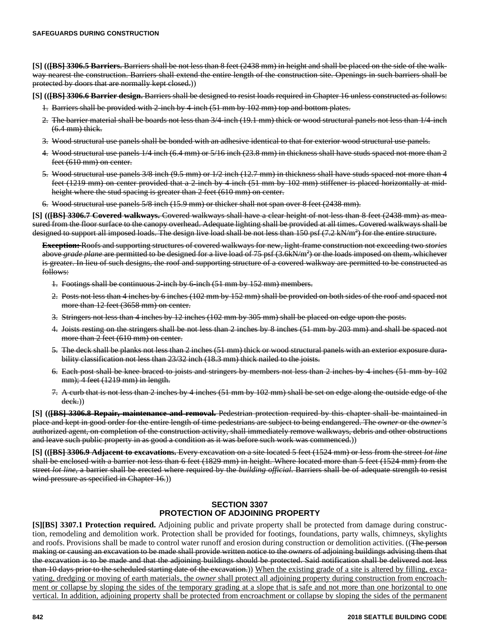**[S] (([BS] 3306.5 Barriers.** Barriers shall be not less than 8 feet (2438 mm) in height and shall be placed on the side of the walkway nearest the construction. Barriers shall extend the entire length of the construction site. Openings in such barriers shall be protected by doors that are normally kept closed.))

**[S] (([BS] 3306.6 Barrier design.** Barriers shall be designed to resist loads required in Chapter 16 unless constructed as follows:

- 1. Barriers shall be provided with 2-inch by 4-inch (51 mm by 102 mm) top and bottom plates.
- 2. The barrier material shall be boards not less than 3/4-inch (19.1 mm) thick or wood structural panels not less than 1/4-inch (6.4 mm) thick.
- 3. Wood structural use panels shall be bonded with an adhesive identical to that for exterior wood structural use panels.
- 4. Wood structural use panels 1/4 inch (6.4 mm) or 5/16 inch (23.8 mm) in thickness shall have studs spaced not more than 2 feet (610 mm) on center.
- 5. Wood structural use panels 3/8 inch (9.5 mm) or 1/2 inch (12.7 mm) in thickness shall have studs spaced not more than 4 feet (1219 mm) on center provided that a 2-inch by 4-inch (51 mm by 102 mm) stiffener is placed horizontally at midheight where the stud spacing is greater than 2 feet (610 mm) on center.
- 6. Wood structural use panels 5/8 inch (15.9 mm) or thicker shall not span over 8 feet (2438 mm).

**[S] (([BS] 3306.7 Covered walkways.** Covered walkways shall have a clear height of not less than 8 feet (2438 mm) as measured from the floor surface to the canopy overhead. Adequate lighting shall be provided at all times. Covered walkways shall be designed to support all imposed loads. The design live load shall be not less than 150 psf (7.2 kN/m<sup>2</sup>) for the entire structure.

**Exception:** Roofs and supporting structures of covered walkways for new, light-frame construction not exceeding two *stories* above *grade plane* are permitted to be designed for a live load of 75 psf (3.6kN/m<sup>2</sup>) or the loads imposed on them, whichever is greater. In lieu of such designs, the roof and supporting structure of a covered walkway are permitted to be constructed as follows:

- 1. Footings shall be continuous 2-inch by 6-inch (51 mm by 152 mm) members.
- 2. Posts not less than 4 inches by 6 inches (102 mm by 152 mm) shall be provided on both sides of the roof and spaced not more than 12 feet (3658 mm) on center.
- 3. Stringers not less than 4 inches by 12 inches (102 mm by 305 mm) shall be placed on edge upon the posts.
- 4. Joists resting on the stringers shall be not less than 2 inches by 8 inches (51 mm by 203 mm) and shall be spaced not more than 2 feet (610 mm) on center.
- 5. The deck shall be planks not less than 2 inches (51 mm) thick or wood structural panels with an exterior exposure durability classification not less than 23/32 inch (18.3 mm) thick nailed to the joists.
- 6. Each post shall be knee braced to joists and stringers by members not less than 2 inches by 4 inches (51 mm by 102 mm); 4 feet (1219 mm) in length.
- 7. A curb that is not less than 2 inches by 4 inches (51 mm by 102 mm) shall be set on edge along the outside edge of the deck.))

**[S] (([BS] 3306.8 Repair, maintenance and removal.** Pedestrian protection required by this chapter shall be maintained in place and kept in good order for the entire length of time pedestrians are subject to being endangered. The *owner* or the *owner's* authorized agent, on completion of the construction activity, shall immediately remove walkways, debris and other obstructions and leave such public property in as good a condition as it was before such work was commenced.))

**[S] (([BS] 3306.9 Adjacent to excavations.** Every excavation on a site located 5 feet (1524 mm) or less from the street *lot line* shall be enclosed with a barrier not less than 6 feet (1829 mm) in height. Where located more than 5 feet (1524 mm) from the street *lot line*, a barrier shall be erected where required by the *building official*. Barriers shall be of adequate strength to resist wind pressure as specified in Chapter 16.))

#### **SECTION 3307 PROTECTION OF ADJOINING PROPERTY**

**[S][BS] 3307.1 Protection required.** Adjoining public and private property shall be protected from damage during construction, remodeling and demolition work. Protection shall be provided for footings, foundations, party walls, chimneys, skylights and roofs. Provisions shall be made to control water runoff and erosion during construction or demolition activities. ((The person making or causing an excavation to be made shall provide written notice to the *owners* of adjoining buildings advising them that the excavation is to be made and that the adjoining buildings should be protected. Said notification shall be delivered not less than 10 days prior to the scheduled starting date of the excavation.)) When the existing grade of a site is altered by filling, excavating, dredging or moving of earth materials, the *owner* shall protect all adjoining property during construction from encroachment or collapse by sloping the sides of the temporary grading at a slope that is safe and not more than one horizontal to one vertical. In addition, adjoining property shall be protected from encroachment or collapse by sloping the sides of the permanent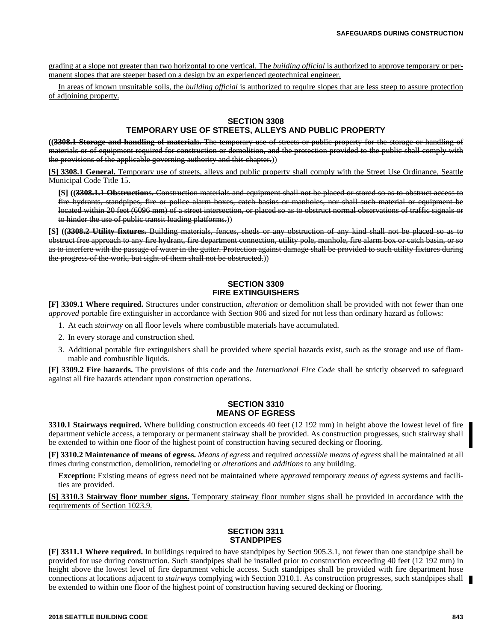grading at a slope not greater than two horizontal to one vertical. The *building official* is authorized to approve temporary or permanent slopes that are steeper based on a design by an experienced geotechnical engineer.

In areas of known unsuitable soils, the *building official* is authorized to require slopes that are less steep to assure protection of adjoining property.

#### **SECTION 3308**

#### **TEMPORARY USE OF STREETS, ALLEYS AND PUBLIC PROPERTY**

**((3308.1 Storage and handling of materials.** The temporary use of streets or public property for the storage or handling of materials or of equipment required for construction or demolition, and the protection provided to the public shall comply with the provisions of the applicable governing authority and this chapter.))

**[S] 3308.1 General.** Temporary use of streets, alleys and public property shall comply with the Street Use Ordinance, Seattle Municipal Code Title 15.

**[S] ((3308.1.1 Obstructions.** Construction materials and equipment shall not be placed or stored so as to obstruct access to fire hydrants, standpipes, fire or police alarm boxes, catch basins or manholes, nor shall such material or equipment be located within 20 feet (6096 mm) of a street intersection, or placed so as to obstruct normal observations of traffic signals or to hinder the use of public transit loading platforms.))

**[S] ((3308.2 Utility fixtures.** Building materials, fences, sheds or any obstruction of any kind shall not be placed so as to obstruct free approach to any fire hydrant, fire department connection, utility pole, manhole, fire alarm box or catch basin, or so as to interfere with the passage of water in the gutter. Protection against damage shall be provided to such utility fixtures during the progress of the work, but sight of them shall not be obstructed.))

#### **SECTION 3309 FIRE EXTINGUISHERS**

**[F] 3309.1 Where required.** Structures under construction, *alteration* or demolition shall be provided with not fewer than one *approved* portable fire extinguisher in accordance with Section 906 and sized for not less than ordinary hazard as follows:

- 1. At each *stairway* on all floor levels where combustible materials have accumulated.
- 2. In every storage and construction shed.
- 3. Additional portable fire extinguishers shall be provided where special hazards exist, such as the storage and use of flammable and combustible liquids.

**[F] 3309.2 Fire hazards.** The provisions of this code and the *International Fire Code* shall be strictly observed to safeguard against all fire hazards attendant upon construction operations.

### **SECTION 3310 MEANS OF EGRESS**

**3310.1 Stairways required.** Where building construction exceeds 40 feet (12 192 mm) in height above the lowest level of fire department vehicle access, a temporary or permanent stairway shall be provided. As construction progresses, such stairway shall be extended to within one floor of the highest point of construction having secured decking or flooring.

**[F] 3310.2 Maintenance of means of egress.** *Means of egress* and required *accessible means of egress* shall be maintained at all times during construction, demolition, remodeling or *alterations* and *additions* to any building.

**Exception:** Existing means of egress need not be maintained where a*pproved* temporary *means of egress* systems and facilities are provided.

**[S] 3310.3 Stairway floor number signs.** Temporary stairway floor number signs shall be provided in accordance with the requirements of Section 1023.9.

## **SECTION 3311 STANDPIPES**

**[F] 3311.1 Where required.** In buildings required to have standpipes by Section 905.3.1, not fewer than one standpipe shall be provided for use during construction. Such standpipes shall be installed prior to construction exceeding 40 feet (12 192 mm) in height above the lowest level of fire department vehicle access. Such standpipes shall be provided with fire department hose connections at locations adjacent to *stairways* complying with Section 3310.1. As construction progresses, such standpipes shall be extended to within one floor of the highest point of construction having secured decking or flooring.